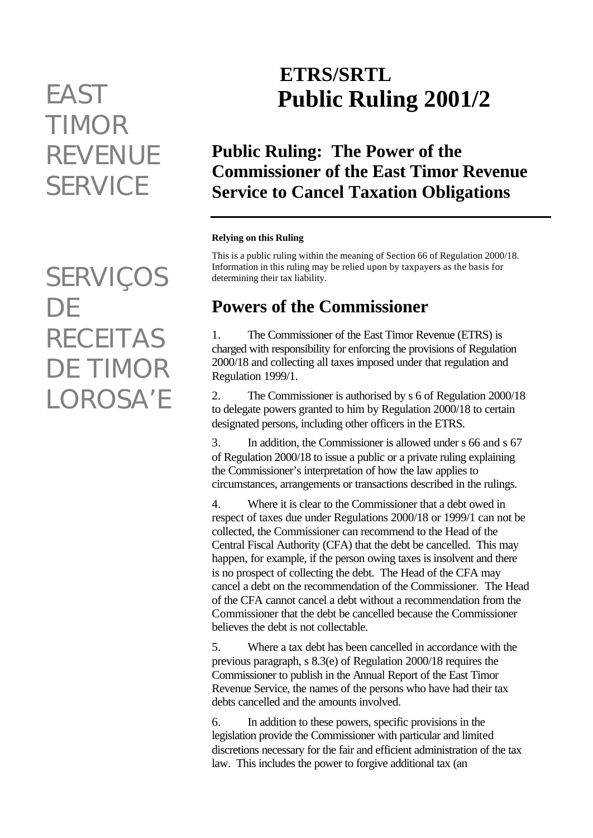# *TIMOR REVENUE SERVICE*

*SERVIÇOS DE RECEITAS DE TIMOR LOROSA'E*

# **ETRS/SRTL** *EAST* **Public Ruling 2001/2**

## **Public Ruling: The Power of the Commissioner of the East Timor Revenue Service to Cancel Taxation Obligations**

#### **Relying on this Ruling**

This is a public ruling within the meaning of Section 66 of Regulation 2000/18. Information in this ruling may be relied upon by taxpayers as the basis for determining their tax liability.

#### **Powers of the Commissioner**

1. The Commissioner of the East Timor Revenue (ETRS) is charged with responsibility for enforcing the provisions of Regulation 2000/18 and collecting all taxes imposed under that regulation and Regulation 1999/1.

2. The Commissioner is authorised by s 6 of Regulation 2000/18 to delegate powers granted to him by Regulation 2000/18 to certain designated persons, including other officers in the ETRS.

3. In addition, the Commissioner is allowed under s 66 and s 67 of Regulation 2000/18 to issue a public or a private ruling explaining the Commissioner's interpretation of how the law applies to circumstances, arrangements or transactions described in the rulings.

4. Where it is clear to the Commissioner that a debt owed in respect of taxes due under Regulations 2000/18 or 1999/1 can not be collected, the Commissioner can recommend to the Head of the Central Fiscal Authority (CFA) that the debt be cancelled. This may happen, for example, if the person owing taxes is insolvent and there is no prospect of collecting the debt. The Head of the CFA may cancel a debt on the recommendation of the Commissioner. The Head of the CFA cannot cancel a debt without a recommendation from the Commissioner that the debt be cancelled because the Commissioner believes the debt is not collectable.

5. Where a tax debt has been cancelled in accordance with the previous paragraph, s 8.3(e) of Regulation 2000/18 requires the Commissioner to publish in the Annual Report of the East Timor Revenue Service, the names of the persons who have had their tax debts cancelled and the amounts involved.

6. In addition to these powers, specific provisions in the legislation provide the Commissioner with particular and limited discretions necessary for the fair and efficient administration of the tax law. This includes the power to forgive additional tax (an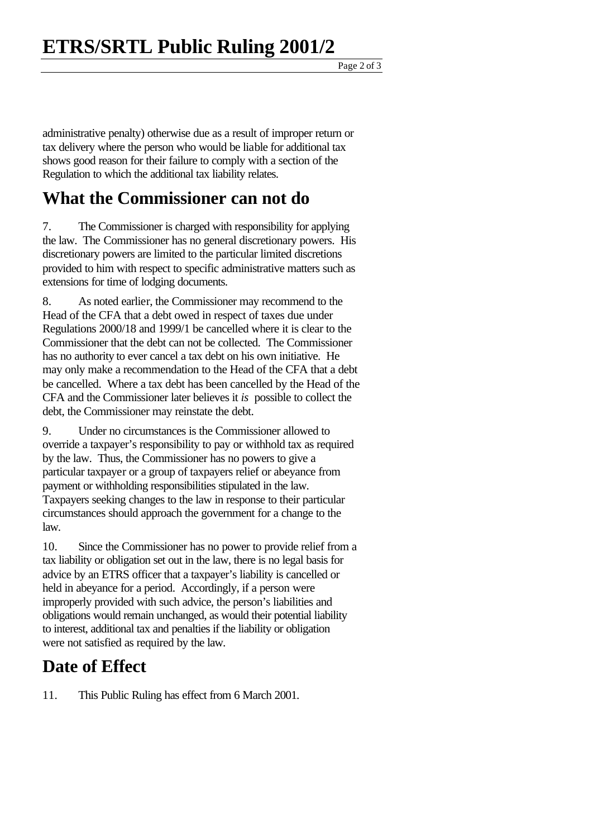Page 2 of 3

administrative penalty) otherwise due as a result of improper return or tax delivery where the person who would be liable for additional tax shows good reason for their failure to comply with a section of the Regulation to which the additional tax liability relates.

#### **What the Commissioner can not do**

7. The Commissioner is charged with responsibility for applying the law. The Commissioner has no general discretionary powers. His discretionary powers are limited to the particular limited discretions provided to him with respect to specific administrative matters such as extensions for time of lodging documents.

8. As noted earlier, the Commissioner may recommend to the Head of the CFA that a debt owed in respect of taxes due under Regulations 2000/18 and 1999/1 be cancelled where it is clear to the Commissioner that the debt can not be collected. The Commissioner has no authority to ever cancel a tax debt on his own initiative. He may only make a recommendation to the Head of the CFA that a debt be cancelled. Where a tax debt has been cancelled by the Head of the CFA and the Commissioner later believes it *is* possible to collect the debt, the Commissioner may reinstate the debt.

9. Under no circumstances is the Commissioner allowed to override a taxpayer's responsibility to pay or withhold tax as required by the law. Thus, the Commissioner has no powers to give a particular taxpayer or a group of taxpayers relief or abeyance from payment or withholding responsibilities stipulated in the law. Taxpayers seeking changes to the law in response to their particular circumstances should approach the government for a change to the law.

10. Since the Commissioner has no power to provide relief from a tax liability or obligation set out in the law, there is no legal basis for advice by an ETRS officer that a taxpayer's liability is cancelled or held in abeyance for a period. Accordingly, if a person were improperly provided with such advice, the person's liabilities and obligations would remain unchanged, as would their potential liability to interest, additional tax and penalties if the liability or obligation were not satisfied as required by the law.

### **Date of Effect**

11. This Public Ruling has effect from 6 March 2001.